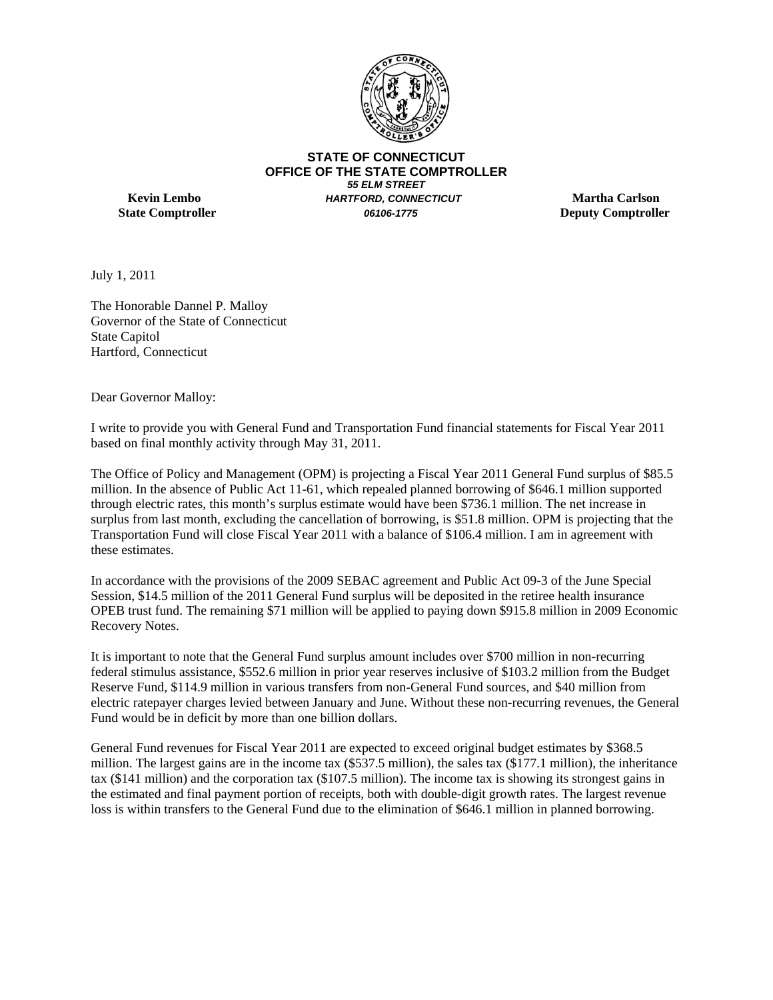

**STATE OF CONNECTICUT OFFICE OF THE STATE COMPTROLLER**  *55 ELM STREET* **Kevin Lembo** *HARTFORD, CONNECTICUT* **Martha Carlson State Comptroller** *06106-1775* **Deputy Comptroller**

July 1, 2011

The Honorable Dannel P. Malloy Governor of the State of Connecticut State Capitol Hartford, Connecticut

Dear Governor Malloy:

I write to provide you with General Fund and Transportation Fund financial statements for Fiscal Year 2011 based on final monthly activity through May 31, 2011.

The Office of Policy and Management (OPM) is projecting a Fiscal Year 2011 General Fund surplus of \$85.5 million. In the absence of Public Act 11-61, which repealed planned borrowing of \$646.1 million supported through electric rates, this month's surplus estimate would have been \$736.1 million. The net increase in surplus from last month, excluding the cancellation of borrowing, is \$51.8 million. OPM is projecting that the Transportation Fund will close Fiscal Year 2011 with a balance of \$106.4 million. I am in agreement with these estimates.

In accordance with the provisions of the 2009 SEBAC agreement and Public Act 09-3 of the June Special Session, \$14.5 million of the 2011 General Fund surplus will be deposited in the retiree health insurance OPEB trust fund. The remaining \$71 million will be applied to paying down \$915.8 million in 2009 Economic Recovery Notes.

It is important to note that the General Fund surplus amount includes over \$700 million in non-recurring federal stimulus assistance, \$552.6 million in prior year reserves inclusive of \$103.2 million from the Budget Reserve Fund, \$114.9 million in various transfers from non-General Fund sources, and \$40 million from electric ratepayer charges levied between January and June. Without these non-recurring revenues, the General Fund would be in deficit by more than one billion dollars.

General Fund revenues for Fiscal Year 2011 are expected to exceed original budget estimates by \$368.5 million. The largest gains are in the income tax (\$537.5 million), the sales tax (\$177.1 million), the inheritance tax (\$141 million) and the corporation tax (\$107.5 million). The income tax is showing its strongest gains in the estimated and final payment portion of receipts, both with double-digit growth rates. The largest revenue loss is within transfers to the General Fund due to the elimination of \$646.1 million in planned borrowing.